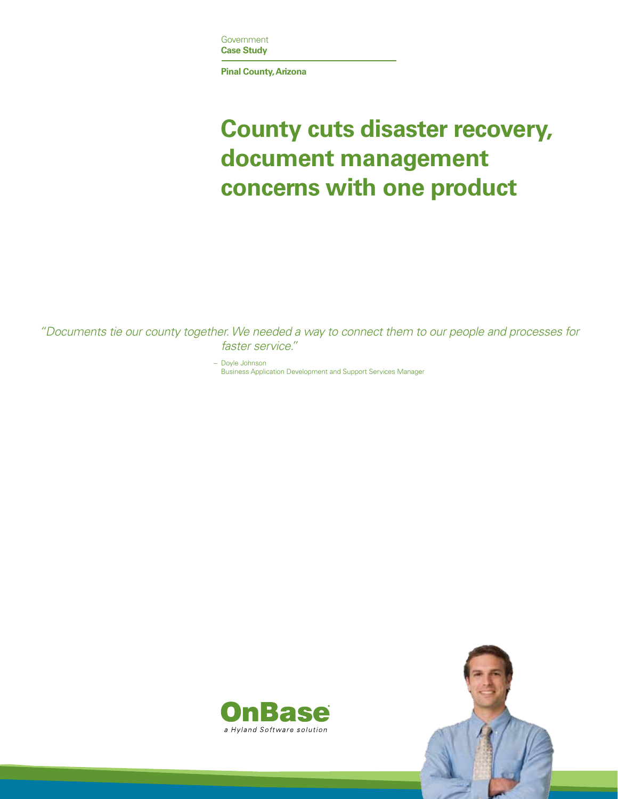

**Pinal County, Arizona** 

# **County cuts disaster recovery, document management concerns with one product**

 *"Documents tie our county together. We needed a way to connect them to our people and processes for faster service."*

– Doyle Johnson

Business Application Development and Support Services Manager



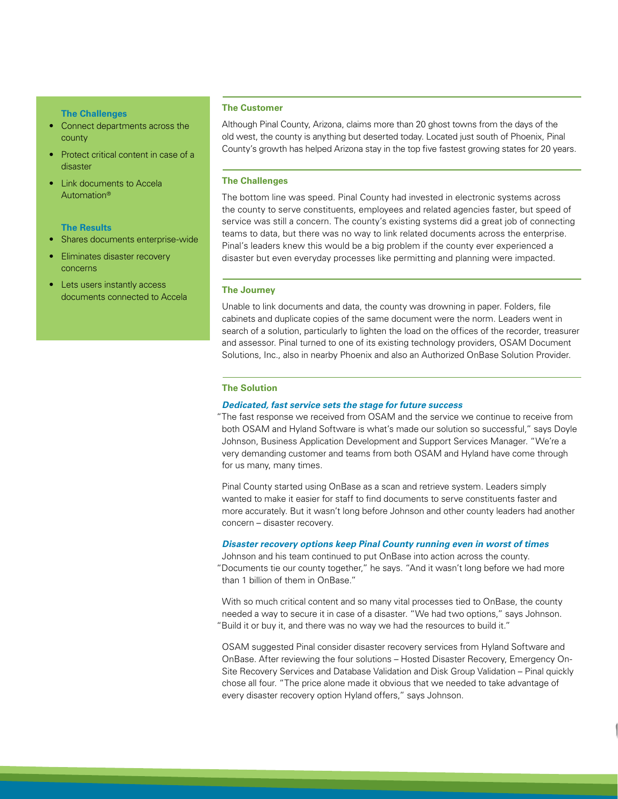#### **The Challenges**

- • Connect departments across the county
- Protect critical content in case of a disaster
- **Link documents to Accela** Automation®

# **The Results**

- Shares documents enterprise-wide
- Eliminates disaster recovery concerns
- Lets users instantly access documents connected to Accela

## **The Customer**

Although Pinal County, Arizona, claims more than 20 ghost towns from the days of the old west, the county is anything but deserted today. Located just south of Phoenix, Pinal County's growth has helped Arizona stay in the top five fastest growing states for 20 years.

#### **The Challenges**

The bottom line was speed. Pinal County had invested in electronic systems across the county to serve constituents, employees and related agencies faster, but speed of service was still a concern. The county's existing systems did a great job of connecting teams to data, but there was no way to link related documents across the enterprise. Pinal's leaders knew this would be a big problem if the county ever experienced a disaster but even everyday processes like permitting and planning were impacted.

#### **The Journey**

Unable to link documents and data, the county was drowning in paper. Folders, file cabinets and duplicate copies of the same document were the norm. Leaders went in search of a solution, particularly to lighten the load on the offices of the recorder, treasurer and assessor. Pinal turned to one of its existing technology providers, OSAM Document Solutions, Inc., also in nearby Phoenix and also an Authorized OnBase Solution Provider.

# **The Solution**

# *Dedicated, fast service sets the stage for future success*

 "The fast response we received from OSAM and the service we continue to receive from both OSAM and Hyland Software is what's made our solution so successful," says Doyle Johnson, Business Application Development and Support Services Manager. "We're a very demanding customer and teams from both OSAM and Hyland have come through for us many, many times.

Pinal County started using OnBase as a scan and retrieve system. Leaders simply wanted to make it easier for staff to find documents to serve constituents faster and more accurately. But it wasn't long before Johnson and other county leaders had another concern – disaster recovery.

## *Disaster recovery options keep Pinal County running even in worst of times*

Johnson and his team continued to put OnBase into action across the county. "Documents tie our county together," he says. "And it wasn't long before we had more than 1 billion of them in OnBase."

With so much critical content and so many vital processes tied to OnBase, the county needed a way to secure it in case of a disaster. "We had two options," says Johnson. "Build it or buy it, and there was no way we had the resources to build it."

OSAM suggested Pinal consider disaster recovery services from Hyland Software and OnBase. After reviewing the four solutions – Hosted Disaster Recovery, Emergency On-Site Recovery Services and Database Validation and Disk Group Validation – Pinal quickly chose all four. "The price alone made it obvious that we needed to take advantage of every disaster recovery option Hyland offers," says Johnson.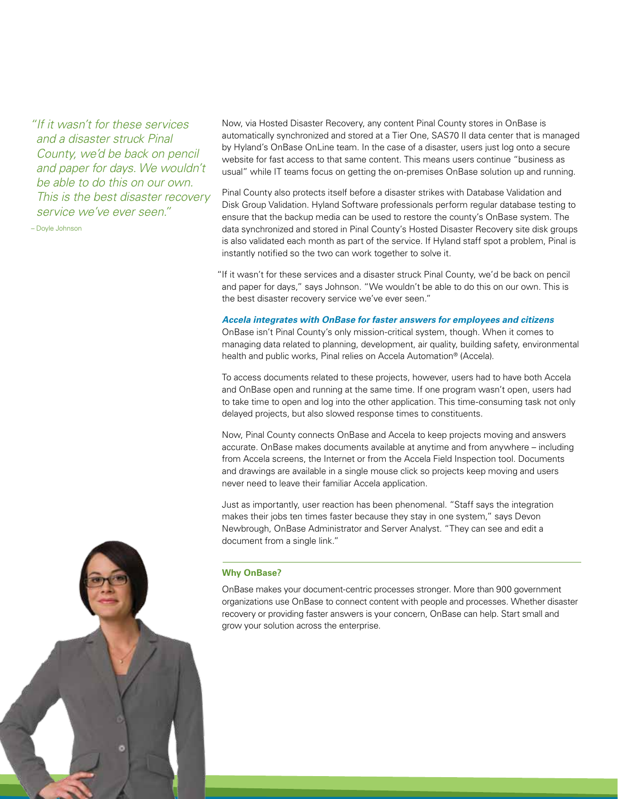*"If it wasn't for these services and a disaster struck Pinal County, we'd be back on pencil and paper for days. We wouldn't be able to do this on our own. This is the best disaster recovery service we've ever seen."*

– Doyle Johnson

Now, via Hosted Disaster Recovery, any content Pinal County stores in OnBase is automatically synchronized and stored at a Tier One, SAS70 II data center that is managed by Hyland's OnBase OnLine team. In the case of a disaster, users just log onto a secure website for fast access to that same content. This means users continue "business as usual" while IT teams focus on getting the on-premises OnBase solution up and running.

Pinal County also protects itself before a disaster strikes with Database Validation and Disk Group Validation. Hyland Software professionals perform regular database testing to ensure that the backup media can be used to restore the county's OnBase system. The data synchronized and stored in Pinal County's Hosted Disaster Recovery site disk groups is also validated each month as part of the service. If Hyland staff spot a problem, Pinal is instantly notified so the two can work together to solve it.

 "If it wasn't for these services and a disaster struck Pinal County, we'd be back on pencil and paper for days," says Johnson. "We wouldn't be able to do this on our own. This is the best disaster recovery service we've ever seen."

# *Accela integrates with OnBase for faster answers for employees and citizens*

OnBase isn't Pinal County's only mission-critical system, though. When it comes to managing data related to planning, development, air quality, building safety, environmental health and public works, Pinal relies on Accela Automation® (Accela).

To access documents related to these projects, however, users had to have both Accela and OnBase open and running at the same time. If one program wasn't open, users had to take time to open and log into the other application. This time-consuming task not only delayed projects, but also slowed response times to constituents.

Now, Pinal County connects OnBase and Accela to keep projects moving and answers accurate. OnBase makes documents available at anytime and from anywhere – including from Accela screens, the Internet or from the Accela Field Inspection tool. Documents and drawings are available in a single mouse click so projects keep moving and users never need to leave their familiar Accela application.

Just as importantly, user reaction has been phenomenal. "Staff says the integration makes their jobs ten times faster because they stay in one system," says Devon Newbrough, OnBase Administrator and Server Analyst. "They can see and edit a document from a single link."

#### **Why OnBase?**

OnBase makes your document-centric processes stronger. More than 900 government organizations use OnBase to connect content with people and processes. Whether disaster recovery or providing faster answers is your concern, OnBase can help. Start small and grow your solution across the enterprise.